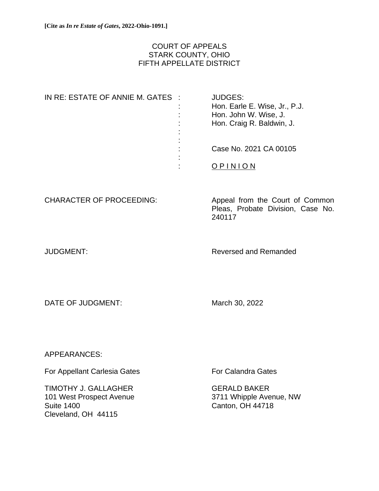## COURT OF APPEALS STARK COUNTY, OHIO FIFTH APPELLATE DISTRICT

| IN RE: ESTATE OF ANNIE M. GATES : |           | <b>JUDGES:</b>                |
|-----------------------------------|-----------|-------------------------------|
|                                   |           | Hon. Earle E. Wise, Jr., P.J. |
|                                   | ÷         | Hon. John W. Wise, J.         |
|                                   | ÷         | Hon. Craig R. Baldwin, J.     |
|                                   | ٠         |                               |
|                                   | $\bullet$ |                               |
|                                   |           | Case No. 2021 CA 00105        |
|                                   | ٠         |                               |
|                                   |           |                               |
|                                   |           |                               |

CHARACTER OF PROCEEDING: Appeal from the Court of Common Pleas, Probate Division, Case No. 240117

JUDGMENT: Reversed and Remanded

DATE OF JUDGMENT: March 30, 2022

APPEARANCES:

For Appellant Carlesia Gates **For Calandra Gates** 

TIMOTHY J. GALLAGHER GERALD BAKER 101 West Prospect Avenue 3711 Whipple Avenue, NW Suite 1400 Canton, OH 44718 Cleveland, OH 44115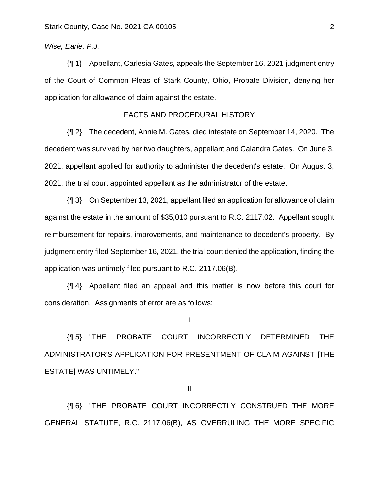## *Wise, Earle, P.J.*

{¶ 1} Appellant, Carlesia Gates, appeals the September 16, 2021 judgment entry of the Court of Common Pleas of Stark County, Ohio, Probate Division, denying her application for allowance of claim against the estate.

## FACTS AND PROCEDURAL HISTORY

{¶ 2} The decedent, Annie M. Gates, died intestate on September 14, 2020. The decedent was survived by her two daughters, appellant and Calandra Gates. On June 3, 2021, appellant applied for authority to administer the decedent's estate. On August 3, 2021, the trial court appointed appellant as the administrator of the estate.

{¶ 3} On September 13, 2021, appellant filed an application for allowance of claim against the estate in the amount of \$35,010 pursuant to R.C. 2117.02. Appellant sought reimbursement for repairs, improvements, and maintenance to decedent's property. By judgment entry filed September 16, 2021, the trial court denied the application, finding the application was untimely filed pursuant to R.C. 2117.06(B).

{¶ 4} Appellant filed an appeal and this matter is now before this court for consideration. Assignments of error are as follows:

I

{¶ 5} "THE PROBATE COURT INCORRECTLY DETERMINED THE ADMINISTRATOR'S APPLICATION FOR PRESENTMENT OF CLAIM AGAINST [THE ESTATE] WAS UNTIMELY."

II

{¶ 6} "THE PROBATE COURT INCORRECTLY CONSTRUED THE MORE GENERAL STATUTE, R.C. 2117.06(B), AS OVERRULING THE MORE SPECIFIC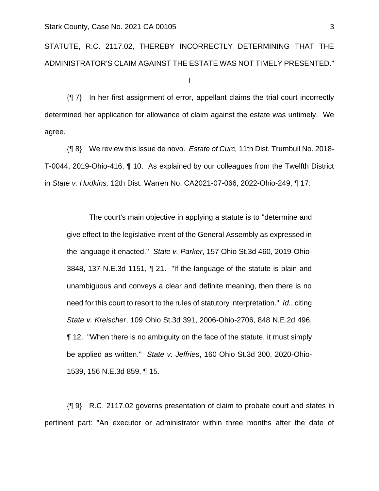## STATUTE, R.C. 2117.02, THEREBY INCORRECTLY DETERMINING THAT THE ADMINISTRATOR'S CLAIM AGAINST THE ESTATE WAS NOT TIMELY PRESENTED."

I

{¶ 7} In her first assignment of error, appellant claims the trial court incorrectly determined her application for allowance of claim against the estate was untimely. We agree.

{¶ 8} We review this issue de novo. *Estate of Curc,* 11th Dist. Trumbull No. 2018- T-0044, 2019-Ohio-416, ¶ 10. As explained by our colleagues from the Twelfth District in *State v. Hudkins,* 12th Dist. Warren No. CA2021-07-066, 2022-Ohio-249, ¶ 17:

The court's main objective in applying a statute is to "determine and give effect to the legislative intent of the General Assembly as expressed in the language it enacted." *State v. Parker*, 157 Ohio St.3d 460, 2019-Ohio-3848, 137 N.E.3d 1151, ¶ 21. "If the language of the statute is plain and unambiguous and conveys a clear and definite meaning, then there is no need for this court to resort to the rules of statutory interpretation." *Id.*, citing *State v. Kreischer*, 109 Ohio St.3d 391, 2006-Ohio-2706, 848 N.E.2d 496, ¶ 12. "When there is no ambiguity on the face of the statute, it must simply be applied as written." *State v. Jeffries*, 160 Ohio St.3d 300, 2020-Ohio-1539, 156 N.E.3d 859, ¶ 15.

{¶ 9} R.C. 2117.02 governs presentation of claim to probate court and states in pertinent part: "An executor or administrator within three months after the date of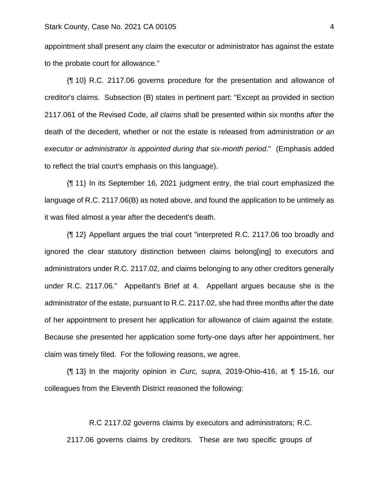appointment shall present any claim the executor or administrator has against the estate to the probate court for allowance."

{¶ 10} R.C. 2117.06 governs procedure for the presentation and allowance of creditor's claims. Subsection (B) states in pertinent part: "Except as provided in section 2117.061 of the Revised Code, *all claims* shall be presented within six months after the death of the decedent, whether or not the estate is released from administration *or an executor or administrator is appointed during that six-month period*." (Emphasis added to reflect the trial court's emphasis on this language).

{¶ 11} In its September 16, 2021 judgment entry, the trial court emphasized the language of R.C. 2117.06(B) as noted above, and found the application to be untimely as it was filed almost a year after the decedent's death.

{¶ 12} Appellant argues the trial court "interpreted R.C. 2117.06 too broadly and ignored the clear statutory distinction between claims belong[ing] to executors and administrators under R.C. 2117.02, and claims belonging to any other creditors generally under R.C. 2117.06." Appellant's Brief at 4. Appellant argues because she is the administrator of the estate, pursuant to R.C. 2117.02, she had three months after the date of her appointment to present her application for allowance of claim against the estate. Because she presented her application some forty-one days after her appointment, her claim was timely filed. For the following reasons, we agree.

{¶ 13} In the majority opinion in *Curc, supra,* 2019-Ohio-416, at ¶ 15-16, our colleagues from the Eleventh District reasoned the following:

R.C 2117.02 governs claims by executors and administrators; R.C. 2117.06 governs claims by creditors. These are two specific groups of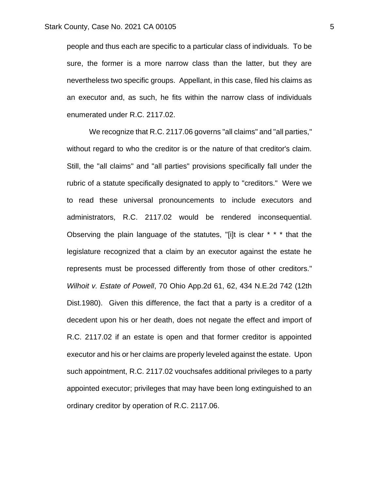people and thus each are specific to a particular class of individuals. To be sure, the former is a more narrow class than the latter, but they are nevertheless two specific groups. Appellant, in this case, filed his claims as an executor and, as such, he fits within the narrow class of individuals enumerated under R.C. 2117.02.

We recognize that R.C. 2117.06 governs "all claims" and "all parties," without regard to who the creditor is or the nature of that creditor's claim. Still, the "all claims" and "all parties" provisions specifically fall under the rubric of a statute specifically designated to apply to "creditors." Were we to read these universal pronouncements to include executors and administrators, R.C. 2117.02 would be rendered inconsequential. Observing the plain language of the statutes, "[i]t is clear \* \* \* that the legislature recognized that a claim by an executor against the estate he represents must be processed differently from those of other creditors." *Wilhoit v. Estate of Powell*, 70 Ohio App.2d 61, 62, 434 N.E.2d 742 (12th Dist.1980). Given this difference, the fact that a party is a creditor of a decedent upon his or her death, does not negate the effect and import of R.C. 2117.02 if an estate is open and that former creditor is appointed executor and his or her claims are properly leveled against the estate. Upon such appointment, R.C. 2117.02 vouchsafes additional privileges to a party appointed executor; privileges that may have been long extinguished to an ordinary creditor by operation of R.C. 2117.06.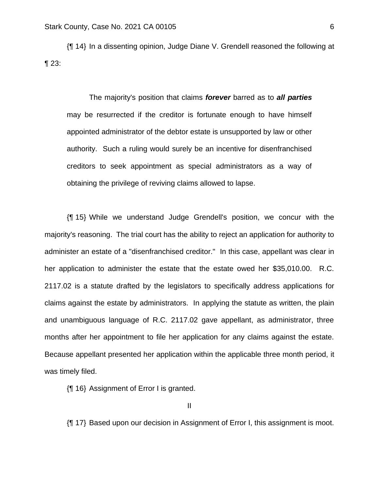{¶ 14} In a dissenting opinion, Judge Diane V. Grendell reasoned the following at ¶ 23:

The majority's position that claims *forever* barred as to *all parties* may be resurrected if the creditor is fortunate enough to have himself appointed administrator of the debtor estate is unsupported by law or other authority. Such a ruling would surely be an incentive for disenfranchised creditors to seek appointment as special administrators as a way of obtaining the privilege of reviving claims allowed to lapse.

{¶ 15} While we understand Judge Grendell's position, we concur with the majority's reasoning. The trial court has the ability to reject an application for authority to administer an estate of a "disenfranchised creditor." In this case, appellant was clear in her application to administer the estate that the estate owed her \$35,010.00. R.C. 2117.02 is a statute drafted by the legislators to specifically address applications for claims against the estate by administrators. In applying the statute as written, the plain and unambiguous language of R.C. 2117.02 gave appellant, as administrator, three months after her appointment to file her application for any claims against the estate. Because appellant presented her application within the applicable three month period, it was timely filed.

{¶ 16} Assignment of Error I is granted.

II

{¶ 17} Based upon our decision in Assignment of Error I, this assignment is moot.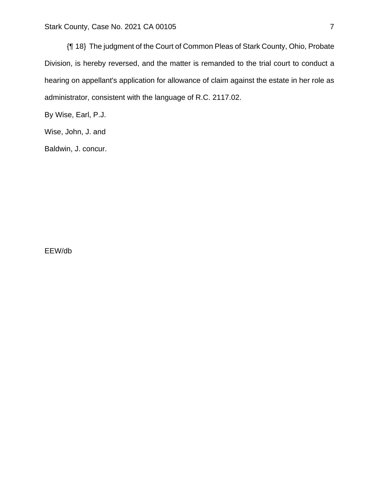{¶ 18} The judgment of the Court of Common Pleas of Stark County, Ohio, Probate Division, is hereby reversed, and the matter is remanded to the trial court to conduct a hearing on appellant's application for allowance of claim against the estate in her role as administrator, consistent with the language of R.C. 2117.02.

By Wise, Earl, P.J.

Wise, John, J. and

Baldwin, J. concur.

EEW/db